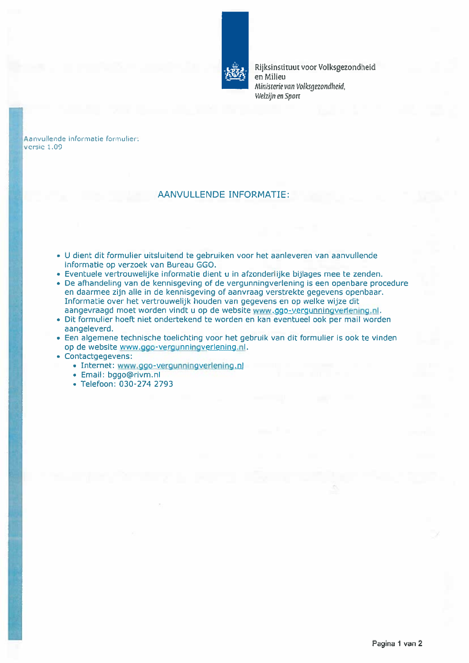

Rijksinstituut voor Volksgezondheid en Milieu Ministerie van Volksgezondheid, Welzijn en Sport

Aanvullende informatie formulier: versie 1.09

## AANVULLENDE INFORMATIE:

- <sup>U</sup> dient dit formulier uitsluitend te gebruiken voor het aanleveren van aanvullende informatie op verzoek van Bureau GGO.
- Eventuele vertrouwelijke informatie dient u in afzonderlijke bijlages mee te zenden.
- De afhandeling van de kennisgeving of de vergunningverlening is een openbare procedure en daarmee zijn alle in de kennisgeving of aanvraag verstrekte gegevens openbaar. Informatie over het vertrouwelijk houden van gegevens en op welke wijze dit aangevraagd moet worden vindt u op de website www.ggo-vergunningverlening.nl.
- Dit formulier hoeft niet ondertekend te worden en kan eventueel ook per mail worden aangeleverd.
- Een algemene technische toelichting voor het gebruik van dit formulier is ook te vinden op de website www.ggo-vergunningverlening.nl.
- Contactgegevens:
	- Internet: www.ggo-vergunningverlening.nl
	- Email: bggo@rivm.nl
	- Telefoon: 030-274 2793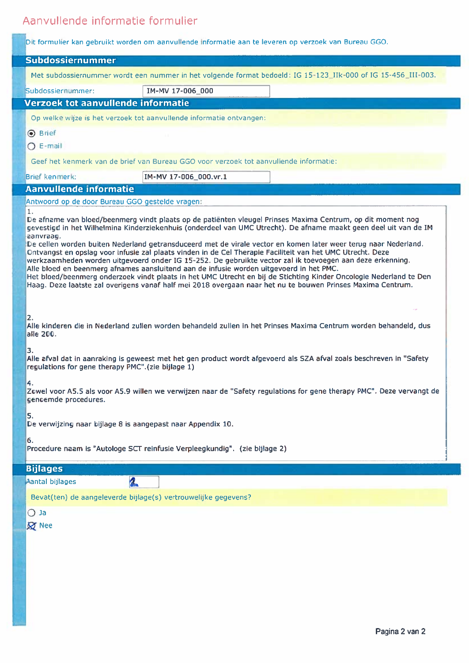# Aanvullende informatie formulier

|<br>|<br>|

|  | Dit formulier kan gebruikt worden om aanvullende informatie aan te leveren op verzoek van Bureau GGO.                                                                                                                                                                                                                                                                                                                                                                                                                                                                                                                                                                      |                                                                |                                                                                                                                                                                                                                  |
|--|----------------------------------------------------------------------------------------------------------------------------------------------------------------------------------------------------------------------------------------------------------------------------------------------------------------------------------------------------------------------------------------------------------------------------------------------------------------------------------------------------------------------------------------------------------------------------------------------------------------------------------------------------------------------------|----------------------------------------------------------------|----------------------------------------------------------------------------------------------------------------------------------------------------------------------------------------------------------------------------------|
|  | Subdossiernummer                                                                                                                                                                                                                                                                                                                                                                                                                                                                                                                                                                                                                                                           |                                                                |                                                                                                                                                                                                                                  |
|  |                                                                                                                                                                                                                                                                                                                                                                                                                                                                                                                                                                                                                                                                            |                                                                | Met subdossiernummer wordt een nummer in het volgende format bedoeld: IG 15-123_IIk-000 of IG 15-456_III-003.                                                                                                                    |
|  | Subdossiernummer:                                                                                                                                                                                                                                                                                                                                                                                                                                                                                                                                                                                                                                                          | IM-MV 17-006_000                                               |                                                                                                                                                                                                                                  |
|  | Verzoek tot aanvullende informatie                                                                                                                                                                                                                                                                                                                                                                                                                                                                                                                                                                                                                                         |                                                                |                                                                                                                                                                                                                                  |
|  | Op welke wijze is het verzoek tot aanvullende informatie ontvangen:                                                                                                                                                                                                                                                                                                                                                                                                                                                                                                                                                                                                        |                                                                |                                                                                                                                                                                                                                  |
|  | <b>⊙</b> Brief                                                                                                                                                                                                                                                                                                                                                                                                                                                                                                                                                                                                                                                             |                                                                |                                                                                                                                                                                                                                  |
|  | $O$ E-mail                                                                                                                                                                                                                                                                                                                                                                                                                                                                                                                                                                                                                                                                 |                                                                |                                                                                                                                                                                                                                  |
|  | Geef het kenmerk van de brief van Bureau GGO voor verzoek tot aanvullende informatie:                                                                                                                                                                                                                                                                                                                                                                                                                                                                                                                                                                                      |                                                                |                                                                                                                                                                                                                                  |
|  | <b>Brief kenmerk:</b>                                                                                                                                                                                                                                                                                                                                                                                                                                                                                                                                                                                                                                                      | IM-MV 17-006_000.vr.1                                          |                                                                                                                                                                                                                                  |
|  | <b>Aanvullende informatie</b>                                                                                                                                                                                                                                                                                                                                                                                                                                                                                                                                                                                                                                              |                                                                |                                                                                                                                                                                                                                  |
|  | Antwoord op de door Bureau GGO gestelde vragen:                                                                                                                                                                                                                                                                                                                                                                                                                                                                                                                                                                                                                            |                                                                |                                                                                                                                                                                                                                  |
|  | $\mathbf{1}$ .<br>aanvraag.                                                                                                                                                                                                                                                                                                                                                                                                                                                                                                                                                                                                                                                |                                                                | De afname van bloed/beenmerg vindt plaats op de patiënten vleugel Prinses Maxima Centrum, op dit moment nog<br>gevestigd in het Wilhelmina Kinderziekenhuis (onderdeel van UMC Utrecht). De afname maakt geen deel uit van de IM |
|  | De cellen worden buiten Nederland getransduceerd met de virale vector en komen later weer terug naar Nederland.<br>Ontvangst en opslag voor infusie zal plaats vinden in de Cel Therapie Faciliteit van het UMC Utrecht. Deze<br>werkzaamheden worden uitgevoerd onder IG 15-252. De gebruikte vector zal ik toevoegen aan deze erkenning.<br>Alle bloed en beenmerg afnames aansluitend aan de infusie worden uitgevoerd in het PMC.<br>Het bloed/beenmerg onderzoek vindt plaats in het UMC Utrecht en bij de Stichting Kinder Oncologie Nederland te Den<br>Haag. Deze laatste zal overigens vanaf half mei 2018 overgaan naar het nu te bouwen Prinses Maxima Centrum. |                                                                |                                                                                                                                                                                                                                  |
|  | 2.<br>Alle kinderen die in Nederland zullen worden behandeld zullen in het Prinses Maxima Centrum worden behandeld, dus<br>alle 200.<br>3.<br>Alle afval dat in aanraking is geweest met het gen product wordt afgevoerd als SZA afval zoals beschreven in "Safety<br>regulations for gene therapy PMC".(zie bijlage 1)                                                                                                                                                                                                                                                                                                                                                    |                                                                |                                                                                                                                                                                                                                  |
|  |                                                                                                                                                                                                                                                                                                                                                                                                                                                                                                                                                                                                                                                                            |                                                                |                                                                                                                                                                                                                                  |
|  | 4.<br>Zowel voor A5.5 als voor A5.9 willen we verwijzen naar de "Safety regulations for gene therapy PMC". Deze vervangt de<br>genoemde procedures.                                                                                                                                                                                                                                                                                                                                                                                                                                                                                                                        |                                                                |                                                                                                                                                                                                                                  |
|  | 5.<br>De verwijzing naar bijlage 8 is aangepast naar Appendix 10.                                                                                                                                                                                                                                                                                                                                                                                                                                                                                                                                                                                                          |                                                                |                                                                                                                                                                                                                                  |
|  | 6.<br>Procedure naam is "Autologe SCT reinfusie Verpleegkundig". (zie bijlage 2)                                                                                                                                                                                                                                                                                                                                                                                                                                                                                                                                                                                           |                                                                |                                                                                                                                                                                                                                  |
|  | <b>Bijlages</b>                                                                                                                                                                                                                                                                                                                                                                                                                                                                                                                                                                                                                                                            |                                                                |                                                                                                                                                                                                                                  |
|  | 2<br>Aantal bijlages                                                                                                                                                                                                                                                                                                                                                                                                                                                                                                                                                                                                                                                       |                                                                |                                                                                                                                                                                                                                  |
|  |                                                                                                                                                                                                                                                                                                                                                                                                                                                                                                                                                                                                                                                                            | Bevat(ten) de aangeleverde bijlage(s) vertrouwelijke gegevens? |                                                                                                                                                                                                                                  |
|  | $O$ Ja                                                                                                                                                                                                                                                                                                                                                                                                                                                                                                                                                                                                                                                                     |                                                                |                                                                                                                                                                                                                                  |
|  | <b>Q</b> Nee                                                                                                                                                                                                                                                                                                                                                                                                                                                                                                                                                                                                                                                               |                                                                |                                                                                                                                                                                                                                  |
|  |                                                                                                                                                                                                                                                                                                                                                                                                                                                                                                                                                                                                                                                                            |                                                                |                                                                                                                                                                                                                                  |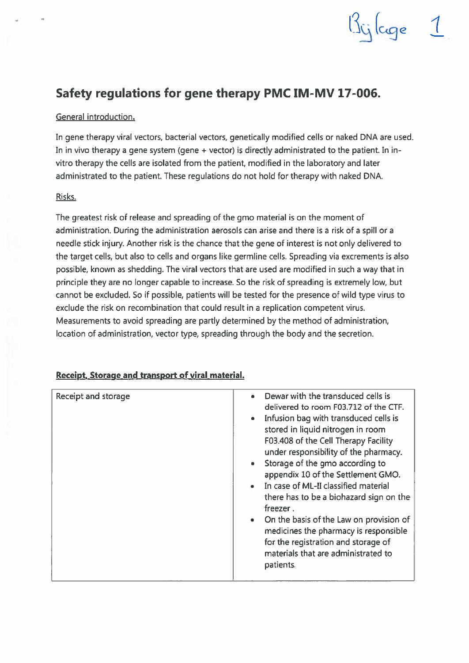# Safety regulations for gene therapy PMC IM-MV 17-006.

## General introduction.

In gene therapy viral vectors, bacterial vectors, genetically modified celis or naked DNA are used. In in vivo therapy a gene system (gene <sup>+</sup> vector) is directly administrated to the patient. In invitro therapy the cells are isolated from the patient, modified in the laboratory and later administrated to the patient. These regulations do not hold for therapy with naked DNA.

 $15$ ijlage  $1$ 

### Risks.

The greatest risk of release and spreading of the gmo material is on the moment of administration. During the administration aerosols can arise and there is a risk of a spill or <sup>a</sup> needle stick injury. Another risk is the chance that the gene of interest is not only delivered to the target cells, but also to cells and organs like germline cells. Spreading via excrements is also possible, known as shedding. The viral vectors that are used are modified in such <sup>a</sup> way that in principle they are no longer capable to increase. So the risk of spreading is extremely low, but cannot be excluded. So if possible, patients will be tested for the presence of wild type virus to exclude the risk on recombination that could result in a replication competent virus. Measurements to avoid spreading are partly determined by the method of administration, location of administration, vector type, spreading through the body and the secretion.

| Receipt and storage | Dewar with the transduced cells is<br>delivered to room F03.712 of the CTF.<br>Infusion bag with transduced cells is<br>stored in liquid nitrogen in room<br>F03.408 of the Cell Therapy Facility<br>under responsibility of the pharmacy.<br>Storage of the gmo according to<br>appendix 10 of the Settlement GMO.<br>• In case of ML-II classified material<br>there has to be a biohazard sign on the<br>freezer.<br>• On the basis of the Law on provision of<br>medicines the pharmacy is responsible<br>for the registration and storage of<br>materials that are administrated to<br>patients. |
|---------------------|-------------------------------------------------------------------------------------------------------------------------------------------------------------------------------------------------------------------------------------------------------------------------------------------------------------------------------------------------------------------------------------------------------------------------------------------------------------------------------------------------------------------------------------------------------------------------------------------------------|
|                     |                                                                                                                                                                                                                                                                                                                                                                                                                                                                                                                                                                                                       |

## Receipt. Storage and transport of viral material.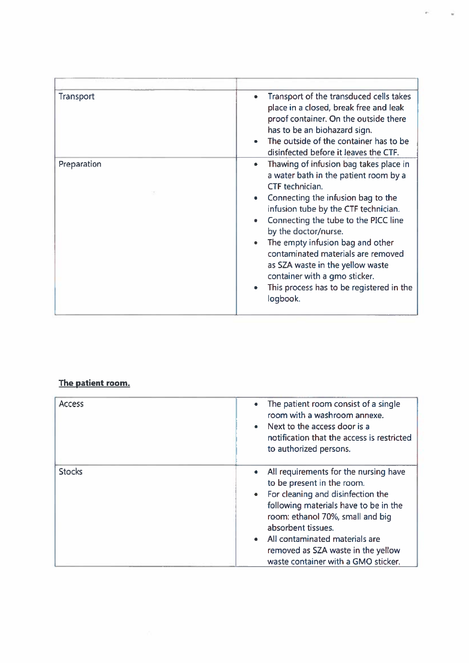| Transport   | Transport of the transduced cells takes<br>$\bullet$<br>place in a closed, break free and leak<br>proof container. On the outside there<br>has to be an biohazard sign.<br>The outside of the container has to be<br>disinfected before it leaves the CTF.                                                                                                                                                                                                           |
|-------------|----------------------------------------------------------------------------------------------------------------------------------------------------------------------------------------------------------------------------------------------------------------------------------------------------------------------------------------------------------------------------------------------------------------------------------------------------------------------|
| Preparation | Thawing of infusion bag takes place in<br>$\bullet$<br>a water bath in the patient room by a<br>CTF technician.<br>Connecting the infusion bag to the<br>infusion tube by the CTF technician.<br>Connecting the tube to the PICC line<br>by the doctor/nurse.<br>The empty infusion bag and other<br>contaminated materials are removed<br>as SZA waste in the yellow waste<br>container with a gmo sticker.<br>This process has to be registered in the<br>logbook. |

## The patient room.

| <b>Access</b> | The patient room consist of a single<br>۰<br>room with a washroom annexe.<br>Next to the access door is a<br>$\bullet$<br>notification that the access is restricted<br>to authorized persons.                                                                                                                                 |
|---------------|--------------------------------------------------------------------------------------------------------------------------------------------------------------------------------------------------------------------------------------------------------------------------------------------------------------------------------|
| <b>Stocks</b> | All requirements for the nursing have<br>to be present in the room.<br>• For cleaning and disinfection the<br>following materials have to be in the<br>room: ethanol 70%, small and big<br>absorbent tissues.<br>• All contaminated materials are<br>removed as SZA waste in the yellow<br>waste container with a GMO sticker. |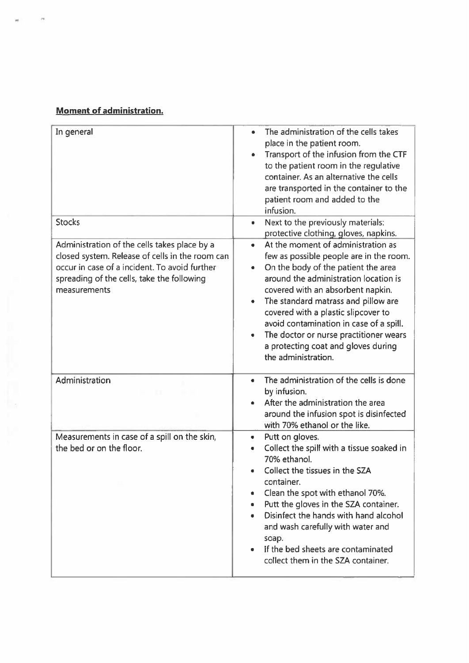## Moment of administration.

 $\overline{1}$ 

| In general                                                                                                                                                                                                     | The administration of the cells takes<br>place in the patient room.<br>Transport of the infusion from the CTF<br>to the patient room in the regulative<br>container. As an alternative the cells<br>are transported in the container to the<br>patient room and added to the<br>infusion.                                                                                                                                                             |
|----------------------------------------------------------------------------------------------------------------------------------------------------------------------------------------------------------------|-------------------------------------------------------------------------------------------------------------------------------------------------------------------------------------------------------------------------------------------------------------------------------------------------------------------------------------------------------------------------------------------------------------------------------------------------------|
| <b>Stocks</b>                                                                                                                                                                                                  | Next to the previously materials:<br>$\bullet$<br>protective clothing, gloves, napkins.                                                                                                                                                                                                                                                                                                                                                               |
| Administration of the cells takes place by a<br>closed system. Release of cells in the room can<br>occur in case of a incident. To avoid further<br>spreading of the cells, take the following<br>measurements | At the moment of administration as<br>$\bullet$<br>few as possible people are in the room.<br>On the body of the patient the area<br>۰<br>around the administration location is<br>covered with an absorbent napkin.<br>The standard matrass and pillow are<br>covered with a plastic slipcover to<br>avoid contamination in case of a spill.<br>The doctor or nurse practitioner wears<br>a protecting coat and gloves during<br>the administration. |
| Administration                                                                                                                                                                                                 | The administration of the cells is done<br>$\bullet$<br>by infusion.<br>After the administration the area<br>around the infusion spot is disinfected<br>with 70% ethanol or the like.                                                                                                                                                                                                                                                                 |
| Measurements in case of a spill on the skin,<br>the bed or on the floor.                                                                                                                                       | Putt on gloves.<br>۰<br>Collect the spill with a tissue soaked in<br>70% ethanol.<br>Collect the tissues in the SZA<br>container.<br>Clean the spot with ethanol 70%.<br>۰<br>Putt the gloves in the SZA container.<br>۰<br>Disinfect the hands with hand alcohol<br>and wash carefully with water and<br>soap.<br>If the bed sheets are contaminated<br>collect them in the SZA container.                                                           |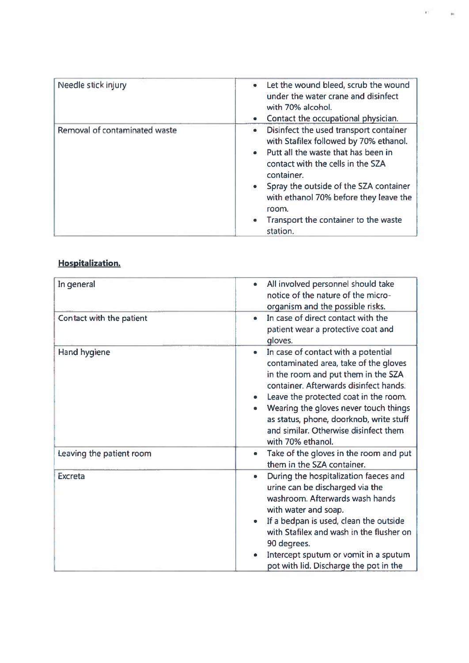| Needle stick injury           | Let the wound bleed, scrub the wound<br>$\bullet$<br>under the water crane and disinfect<br>with 70% alcohol.<br>Contact the occupational physician.<br>$\bullet$                                                                                                                                                                                         |
|-------------------------------|-----------------------------------------------------------------------------------------------------------------------------------------------------------------------------------------------------------------------------------------------------------------------------------------------------------------------------------------------------------|
| Removal of contaminated waste | Disinfect the used transport container<br>$\bullet$<br>with Stafilex followed by 70% ethanol.<br>• Putt all the waste that has been in<br>contact with the cells in the SZA<br>container.<br>• Spray the outside of the SZA container<br>with ethanol 70% before they leave the<br>room.<br>Transport the container to the waste<br>$\bullet$<br>station. |

χý.

 $\mathbf{p}_i$ 

## Hospitalization.

| In general               | All involved personnel should take<br>٠<br>notice of the nature of the micro-<br>organism and the possible risks.                                                                                                                                                                                                                                                                       |
|--------------------------|-----------------------------------------------------------------------------------------------------------------------------------------------------------------------------------------------------------------------------------------------------------------------------------------------------------------------------------------------------------------------------------------|
| Contact with the patient | In case of direct contact with the<br>٠<br>patient wear a protective coat and<br>gloves.                                                                                                                                                                                                                                                                                                |
| Hand hygiene             | In case of contact with a potential<br>$\bullet$<br>contaminated area, take of the gloves<br>in the room and put them in the SZA<br>container. Afterwards disinfect hands.<br>Leave the protected coat in the room.<br>$\bullet$<br>Wearing the gloves never touch things<br>٠<br>as status, phone, doorknob, write stuff<br>and similar. Otherwise disinfect them<br>with 70% ethanol. |
| Leaving the patient room | Take of the gloves in the room and put<br>۰<br>them in the SZA container.                                                                                                                                                                                                                                                                                                               |
| <b>Excreta</b>           | During the hospitalization faeces and<br>٠<br>urine can be discharged via the<br>washroom. Afterwards wash hands<br>with water and soap.<br>If a bedpan is used, clean the outside<br>۰<br>with Stafilex and wash in the flusher on<br>90 degrees.<br>Intercept sputum or vomit in a sputum<br>$\bullet$<br>pot with lid. Discharge the pot in the                                      |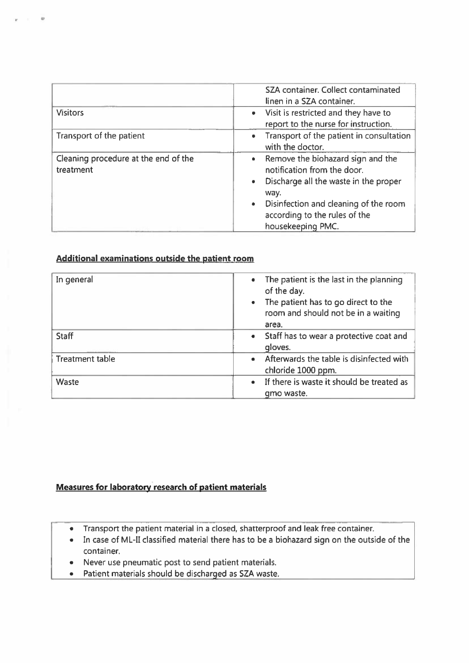|                                                   | SZA container. Collect contaminated<br>linen in a SZA container.                                                                                                                                                                             |
|---------------------------------------------------|----------------------------------------------------------------------------------------------------------------------------------------------------------------------------------------------------------------------------------------------|
| <b>Visitors</b>                                   | • Visit is restricted and they have to<br>report to the nurse for instruction.                                                                                                                                                               |
| Transport of the patient                          | Transport of the patient in consultation<br>$\bullet$<br>with the doctor.                                                                                                                                                                    |
| Cleaning procedure at the end of the<br>treatment | • Remove the biohazard sign and the<br>notification from the door.<br>Discharge all the waste in the proper<br>$\bullet$<br>way.<br>Disinfection and cleaning of the room<br>$\bullet$<br>according to the rules of the<br>housekeeping PMC. |

## Additional examinations outside the patient room

0

| In general             | • The patient is the last in the planning<br>of the day.<br>The patient has to go direct to the<br>$\bullet$<br>room and should not be in a waiting<br>area. |
|------------------------|--------------------------------------------------------------------------------------------------------------------------------------------------------------|
| <b>Staff</b>           | • Staff has to wear a protective coat and<br>gloves.                                                                                                         |
| <b>Treatment table</b> | • Afterwards the table is disinfected with<br>chloride 1000 ppm.                                                                                             |
| Waste                  | If there is waste it should be treated as<br>$\bullet$<br>gmo waste.                                                                                         |

## Measures for laboratory research of patient materials

- Transport the patient material in <sup>a</sup> closed, shatterproof and leak free container.
- In case of ML-II classified material there has to be a biohazard sign on the outside of the container.
- Never use pneumatic post to send patient materials.
- Patient materials should be discharged as SZA waste.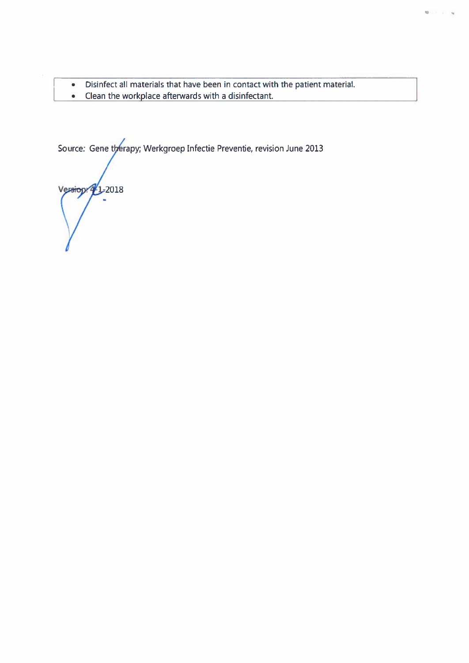- Disinfect all materials that have been in contact with the patient material.<br>• Clean the workplace afterwards with a disinfectant.
- Clean the workplace afterwards with a disinfectant.

Source: Gene therapy; Werkgroep Infectie Preventie, revision June 201

Version 4/1-2018  $\ddot{\phantom{0}}$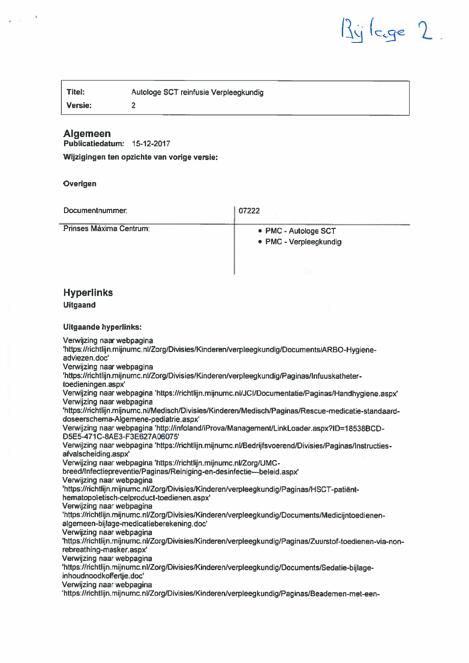$\lg$  ( $c_g$ e 2.

| $\vert$ Titel: | Autologe SCT reinfusie Verpleegkundig |
|----------------|---------------------------------------|
| $ $ Versie:    |                                       |

## Algemeen

ŕ

 $\omega_{\rm{eff}}$ 

Publicatiedatum: 15-12-2017

Wijzigingen ten opzichte van vorige versie:

Overigen

| Documentnummer:                                                                                                                                                                                                                                                                                                                                                                                                                                                                                                                                                                                                                                                                                                                                                                                                                                                                                                                                                                                                                                                                                                                                                                                                                                                                                                                                                                                                                                                                                                                                                                                                                                                                                    | 07222                                                                                                   |
|----------------------------------------------------------------------------------------------------------------------------------------------------------------------------------------------------------------------------------------------------------------------------------------------------------------------------------------------------------------------------------------------------------------------------------------------------------------------------------------------------------------------------------------------------------------------------------------------------------------------------------------------------------------------------------------------------------------------------------------------------------------------------------------------------------------------------------------------------------------------------------------------------------------------------------------------------------------------------------------------------------------------------------------------------------------------------------------------------------------------------------------------------------------------------------------------------------------------------------------------------------------------------------------------------------------------------------------------------------------------------------------------------------------------------------------------------------------------------------------------------------------------------------------------------------------------------------------------------------------------------------------------------------------------------------------------------|---------------------------------------------------------------------------------------------------------|
| Prinses Máxima Centrum:                                                                                                                                                                                                                                                                                                                                                                                                                                                                                                                                                                                                                                                                                                                                                                                                                                                                                                                                                                                                                                                                                                                                                                                                                                                                                                                                                                                                                                                                                                                                                                                                                                                                            | • PMC - Autologe SCT<br>· PMC - Verpleegkundig                                                          |
| <b>Hyperlinks</b><br><b>Uitgaand</b>                                                                                                                                                                                                                                                                                                                                                                                                                                                                                                                                                                                                                                                                                                                                                                                                                                                                                                                                                                                                                                                                                                                                                                                                                                                                                                                                                                                                                                                                                                                                                                                                                                                               |                                                                                                         |
| <b>Uitgaande hyperlinks:</b>                                                                                                                                                                                                                                                                                                                                                                                                                                                                                                                                                                                                                                                                                                                                                                                                                                                                                                                                                                                                                                                                                                                                                                                                                                                                                                                                                                                                                                                                                                                                                                                                                                                                       |                                                                                                         |
| Verwijzing naar webpagina<br>'https://richtlijn.mijnumc.nl/Zorg/Divisies/Kinderen/verpleegkundig/Documents/ARBO-Hygiene-<br>adviezen.doc'<br>Verwijzing naar webpagina<br>'https://richtlijn.mijnumc.nl/Zorg/Divisies/Kinderen/verpleegkundig/Paginas/Infuuskatheter-<br>toedieningen.aspx'<br>Verwijzing naar webpagina 'https://richtlijn.mijnumc.nl/JCI/Documentatie/Paginas/Handhygiene.aspx'<br>Verwijzing naar webpagina<br>'https://richtlijn.mijnumc.nl/Medisch/Divisies/Kinderen/Medisch/Paginas/Rescue-medicatie-standaard-<br>doseerschema-Algemene-pediatrie.aspx'<br>Verwijzing naar webpagina 'http://infoland/iProva/Management/LinkLoader.aspx?ID=18538BCD-<br>D5E5-471C-8AE3-F3E627A06075'<br>Verwijzing naar webpagina 'https://richtlijn.mijnumc.nl/Bedrijfsvoerend/Divisies/Paginas/Instructies-<br>afvalscheiding.aspx'<br>Verwijzing naar webpagina 'https://richtlijn.mijnumc.nl/Zorg/UMC-<br>breed/Infectiepreventie/Paginas/Reiniging-en-desinfectie---beleid.aspx'<br>Verwijzing naar webpagina<br>'https://richtlijn.mijnumc.nl/Zorg/Divisies/Kinderen/verpleegkundig/Paginas/HSCT-patiënt-<br>hematopoïetisch-celproduct-toedienen.aspx'<br>Verwijzing naar webpagina<br>https://richtlijn.mijnumc.nl/Zorg/Divisies/Kinderen/verpleegkundig/Documents/Medicijntoedienen-<br>algemeen-bijlage-medicatieberekening.doc'<br>Verwijzing naar webpagina<br>rebreathing-masker.aspx'<br>Verwijzing naar webpagina<br>'https://richtlijn.mijnumc.nl/Zorg/Divisies/Kinderen/verpleegkundig/Documents/Sedatie-bijlage-<br>inhoudnoodkoffertje.doc'<br>Verwijzing naar webpagina<br>https://richtlijn.mijnumc.nl/Zorg/Divisies/Kinderen/verpleegkundig/Paginas/Beademen-met-een- | 'https://richtlijn.mijnumc.nl/Zorg/Divisies/Kinderen/verpleegkundig/Paginas/Zuurstof-toedienen-via-non- |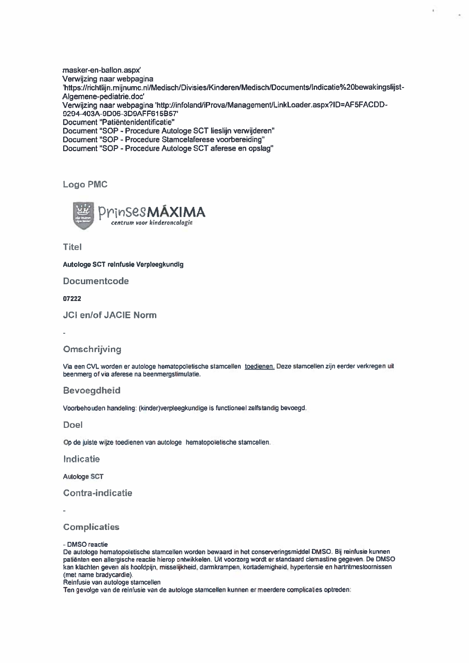masker-en-ballon.aspx' Verwijzing naar webpagina<br>'https://richtlijn.mijnumc.nl/Medisch/Divisies/Kinderen/Medisch/Documents/Indicatie%20bewakingslijst-Algemene-pediatrie.doc' Verwijzing naar webpagina 'http://infoland/iProva/Management/LinkLoader.aspx?ID=AF5FACDD-9294-403A-9D06-3D9AFFG1 5B57' Document "Patiëntenidentificatie" Document "SOP -Procedure Autologe SCT lieslijn verwijderen" Document "SOP - Procedure Stamcelaferese voorbereiding" Document "SOP - Procedure Autologe SCT aferese en opslag"

Logo PMC



**Titel** 

Autologe SCT reinfusie Verpleegkundig

Documentcode

07222

JCI en/of JACIE Norm

## Omschrijving

Via een CVL worden er autologe hematopoïetische stamcellen toedienen. Deze stamcellen zijn eerder verkregen uit beenmerg of via aferese na beenmergstimulatie.

Bevoegdheid

Voorbehouden handeling: (kinder)verpleegkundige is functioneel zelfstandig bevoegd.

Doel

Op de juiste wijze toedienen van autologe hematopoïelische stamcellen.

Indicatie

Autologe SCT

Contra-indicatie

**Complicaties** 

-DMSO reactie

De autologe hematopoïetische stamoellen worden bewaard in het conserveringsmiddel DM50. Bij reinfusie kunnen patiënten een allergische reactie hierop ontwikkelen. Uit voorzorg wordt er standaard clemastine gegeven. De DM50 kan klachten geven als hoofdpijn, misselijkheid. darmkrampen, kortademigheid, hypertensie en hartritmestoornissen (met name bradycardie).

Reinfusie van autologe stamcellen

Ten gevolge van de reinfusie van de autologe stamcellen kunnen er meerdere complicaties optreden: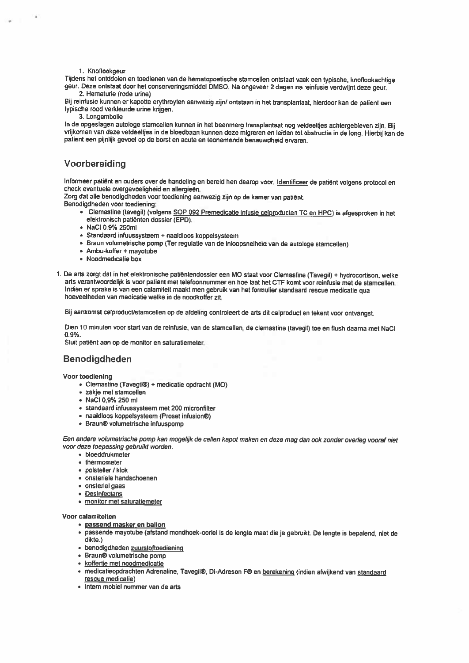#### 1. Knoflookgeur

Tijdens het ontddoien en toedienen van de hematopoetische stamcellen ontstaat vaak een typische, knoflookachtige geur. Deze ontstaat door het conserveringsmiddel DMSG. Na ongeveer <sup>2</sup> dagen na reinfusie verdwijnt deze geur. 2. Hematurie (rode urine)

Bij reinfusie kunnen er kapotte erythroyten aanwezig zijn/ ontstaan in het transplantaat, hierdoor kan de patient een<br>typische rood verkleurde urine krijgen.

3. Longembolie<br>In de opgeslagen autologe stamcellen kunnen in het beenmerg transplantaat nog veldeeltjes achtergebleven zijn. Bij vrijkomen van deze vetdeeltjes in de bloedbaan kunnen deze migreren en leiden tot obstructie in de long. Hierbij kan de patient een pijnlijk gevoel op de borst en acute en teonemende benauwdheid ervaren.

#### Voorbereiding

Informeer patiënt en ouders over de handeling en bereid hen daarop voor. Identificeer de patiënt volgens protocol en<br>check eventuele overgevoeligheid en allergieën.

Zorg dat alle benodigdheden voor toediening aanwezig zijn op de kamer van patiënt.

Benodigdheden voor toediening:

- Clemastine (tavegil) (volgens SGP 092 Premedicatie infusie celproducten TC en HPC) is afgesproken in het elektronisch patiënten dossier (EPO).
- NaCI 0.9% 250m1
- Standaard infuussysteem <sup>+</sup> naaldloos koppelsysteem
- Braun volumetrische pomp (Ter regulatie van de inloopsnelheid van de autologe stamcellen)
- Ambu-koffer + mayotube
- Noodmedicatie box
- 1. De arts zorgt dat in het elektronische patiëntendossier een MC staat voor Clemastine (Tavegil) <sup>+</sup> hydrocortison. welke arts verantwoordelijk is voor patiënt met telefoonnummer en hoe laat het CTF komt voor reinfusie met de stamcellen. Indien er sprake is van een calamiteit maakt men gebruik van het formulier standaard rescue medicatie qua<br>hoeveelheden van medicatie welke in de noodkoffer zit.

Bij aankomst celproducUstamcellen op de afdeling controleert de arts dit celproduct en tekent voor ontvangst.

Dien 10 minuten voor start van de reinfusie, van de stamcellen, de clemastine (tavegil) toe en flush daarna met NaCl 0.9%.

Sluit patiënt aan op de monitor en saturatiemeter.

#### Benodigdheden

Voor toediening

- Clemastine (Tavegil®) <sup>+</sup> medicatie opdracht (MO)
- zakje met stamcellen
- NaCl 0,9% 250 ml
- standaard infuussysteem met 200 micronfilter
- naaldloos koppelsysteem (Proset infusion®)
- Braun® volumetrische infuuspomp

Een andere volumetrische pomp kan mogelijk de cellen kapot maken en deze mag dan ook zonder overleg vooraf niet<br>voor deze toepassing gebruikt worden.

- bloeddrukmeter
- thermometer
- polsteller / klok
- onsteriele handschoenen
- onsteriel gaas
- Desinfectans
- monitor met saturatiemeter

#### Voor calamiteiten

- passend masker en ballon
- passende mayotube (afstand mondhoek-oorlel is de lengte maat die je gebruikt. De lengte is bepalend, niet de dikte.)
- benodigdheden zuurstoftoediening
- Braun® volumetrische pomp
- koftertie met noodmedicatie
- medicatieopdrachten Adrenaline, Tavegil®, Di-Adreson F® en berekening (indien afwijkend van standaard rescue medicatie)
- Intern mobiel nummer van de arts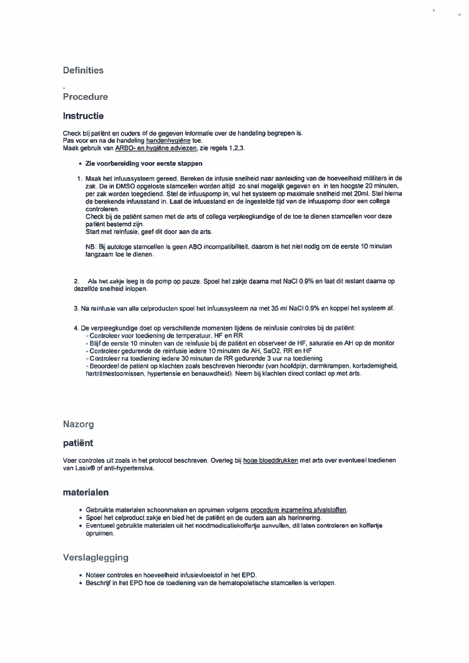## **Definities**

### Procedure

#### **Instructie**

Check bij patiënt en ouders of de gegeven informatie over de handeling begrepen is. Pas voor en na de handeling handenhygiëne toe. Maak gebruik van ARBO- en hygiëne adviezen, zie regels 1,2,3.

- 1e voorbereiding voor eerste stappen
- 1. Maak het infuussysteem gereed. Berekende infusie snelheid naar aanleiding van de hoeveelheid mililiters in de zak. De in DM50 opgeloste stamcellen worden altijd zo snel mogelijk gegeven en in ten hoogste 20 minuten. per zak worden toegediend. Stel de infuuspomp in; vul het systeem op maximale snelheid met 20m1. Stel hierna de berekende infuusstand in. Laat de infuusstand en de ingestelde tijd van de intuuspomp door een collega controleren.

 $k^2$ 

1ú

Check bij de patiënt samen met de arts of collega verpleegkundige of de toe te dienen stamcellen voor deze patiënt bestemd zijn.

Start met reinfusie, geef dit door aan de arts.

NB; Bij autologe stamcellen is geen ABO incompatibiliteit, daarom is het niet nodig om de eerste 10 minuten langzaam toe te dienen.

2. Als het zakje leeg is de pomp op pauze. Spoel het zakje daarna met NaCI 0.9% en laat dit restant daarna op dezelfde snelheid inlopen.

1 Na reinfusie van alle celproducten spoel het infuussysteem na met 35 ml NaCI 0.g% en koppel het systeem af.

4. De verpleegkundige doet op verschillende momenten tijdens de reinfusie controles bij de patiënt:

- -Controleer voor toediening de temperatuur, HF en RR
- -Blijf de eerste 10 minuten van de reinfusie bij de patiënt en observeer de HF, saturatie en AH op de monitor
- Controleer gedurende de reinfusie iedere 10 minuten de AH, Sa02, RR en HF
- -Controleer na toediening iedere 30 minuten de RR gedurende 3 uur na toediening

- Beoordeel de patient op klachten zoals beschreven hieronder (van hoofdpijn, darmkrampen, kortademigheid, hartritmestoornissen, hypertensie en benauwdheid). Neem bij klachten direct contact op met arts.

#### Nazorg

#### patiënt

Voer controles uit zoals in het protocol beschreven. Overleg bij hoge bloeddrukken met arts over eventueel toedienen van Lasix® of anti-hypertensiva.

### materialen

- Gebruikte materialen schoonmaken en opruimen volgens procedure inzameling afvalstoffen.
- Spoel het celproduct zakje en bied het de patiënt en de ouders aan als herinnering.
- Eventueel gebruikte materialen uit het noodmedicatiekoffertje aanvullen, dit laten controleren en koffertje opruimen.

## Verslaglegging

- Noteer controles en hoeveelheid infusievloeistof in het EPD.
- Beschrijf in het EPD hoe de toediening van de hematopoïetische stamcellen is verlopen.